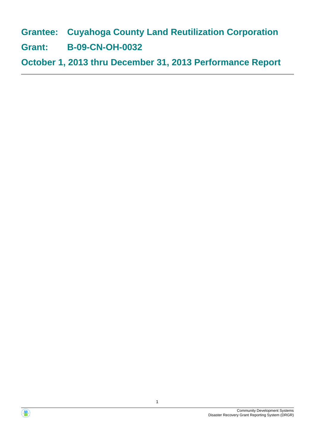**Grantee: Cuyahoga County Land Reutilization Corporation**

**Grant: B-09-CN-OH-0032**

**October 1, 2013 thru December 31, 2013 Performance Report**



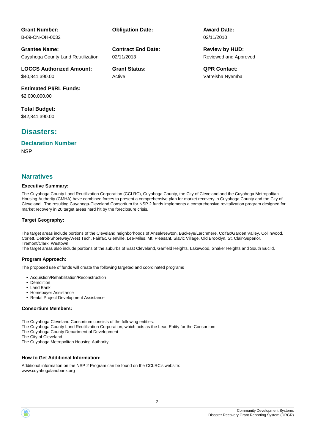**Contract End Date:**

02/11/2013

Active

**Grantee Name:** Cuyahoga County Land Reutilization

**LOCCS Authorized Amount:** \$40,841,390.00

**Estimated PI/RL Funds:** \$2,000,000.00

**Total Budget:** \$42,841,390.00

**Grant Number:** B-09-CN-OH-0032

## **Disasters:**

**NSP Declaration Number**

## **Narratives**

#### **Executive Summary:**

The Cuyahoga County Land Reutilization Corporation (CCLRC), Cuyahoga County, the City of Cleveland and the Cuyahoga Metropolitan Housing Authority (CMHA) have combined forces to present a comprehensive plan for market recovery in Cuyahoga County and the City of Cleveland. The resulting Cuyahoga-Cleveland Consortium for NSP 2 funds implements a comprehensive revitalization program designed for market recovery in 20 target areas hard hit by the foreclosure crisis.

#### **Target Geography:**

The target areas include portions of the Cleveland neighborhoods of Ansel/Newton, Buckeye/Larchmere, Colfax/Garden Valley, Collinwood, Corlett, Detroit-Shoreway/West Tech, Fairfax, Glenville, Lee-Miles, Mt. Pleasant, Slavic Village, Old Brooklyn, St. Clair-Superior, Tremont/Clark, Westown.

The target areas also include portions of the suburbs of East Cleveland, Garfield Heights, Lakewood, Shaker Heights and South Euclid.

#### **Program Approach:**

The proposed use of funds will create the following targeted and coordinated programs

- Acquistion/Rehabilitation/Reconstruction
- Demolition
- Land Bank
- Homebuyer Assistance • Rental Project Development Assistance

## **Consortium Members:**

The Cuyahoga Cleveland Consortium consists of the following entities:

The Cuyahoga County Land Reutilization Corporation, which acts as the Lead Entity for the Consortium.

The Cuyahoga County Department of Development

The City of Cleveland

The Cuyahoga Metropolitan Housing Authority

## **How to Get Additional Information:**

Additional information on the NSP 2 Program can be found on the CCLRC's website: www.cuyahogalandbank.org



Reviewed and Approved **Review by HUD:**

**Grant Status: QPR Contact:** Vatreisha Nyemba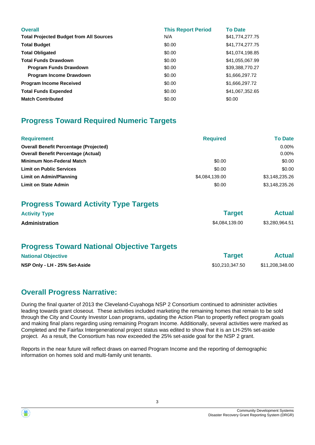| <b>Overall</b><br><b>Total Projected Budget from All Sources</b> | <b>This Report Period</b><br>N/A | <b>To Date</b><br>\$41,774,277.75 |
|------------------------------------------------------------------|----------------------------------|-----------------------------------|
| <b>Total Budget</b>                                              | \$0.00                           | \$41,774,277.75                   |
| <b>Total Obligated</b>                                           | \$0.00                           | \$41,074,198.85                   |
| <b>Total Funds Drawdown</b>                                      | \$0.00                           | \$41,055,067.99                   |
| <b>Program Funds Drawdown</b>                                    | \$0.00                           | \$39,388,770.27                   |
| <b>Program Income Drawdown</b>                                   | \$0.00                           | \$1,666,297.72                    |
| <b>Program Income Received</b>                                   | \$0.00                           | \$1,666,297.72                    |
| <b>Total Funds Expended</b>                                      | \$0.00                           | \$41,067,352.65                   |
| <b>Match Contributed</b>                                         | \$0.00                           | \$0.00                            |

# **Progress Toward Required Numeric Targets**

| <b>Requirement</b>                            | <b>Required</b> | <b>To Date</b> |
|-----------------------------------------------|-----------------|----------------|
| <b>Overall Benefit Percentage (Projected)</b> |                 | 0.00%          |
| <b>Overall Benefit Percentage (Actual)</b>    |                 | $0.00\%$       |
| <b>Minimum Non-Federal Match</b>              | \$0.00          | \$0.00         |
| <b>Limit on Public Services</b>               | \$0.00          | \$0.00         |
| Limit on Admin/Planning                       | \$4,084,139.00  | \$3,148,235.26 |
| <b>Limit on State Admin</b>                   | \$0.00          | \$3.148.235.26 |

# **Progress Toward Activity Type Targets**

| <b>Activity Type</b>  | <b>Target</b>  | <b>Actual</b>  |  |
|-----------------------|----------------|----------------|--|
| <b>Administration</b> | \$4,084,139.00 | \$3,280,964.51 |  |

# **Progress Toward National Objective Targets**

| <b>National Objective</b>     | <b>Target</b>   | <b>Actual</b>   |  |
|-------------------------------|-----------------|-----------------|--|
| NSP Only - LH - 25% Set-Aside | \$10,210,347.50 | \$11,208,348.00 |  |

# **Overall Progress Narrative:**

During the final quarter of 2013 the Cleveland-Cuyahoga NSP 2 Consortium continued to administer activities leading towards grant closeout. These activities included marketing the remaining homes that remain to be sold through the City and County Investor Loan programs, updating the Action Plan to propertly reflect program goals and making final plans regarding using remaining Program Income. Additionally, several activities were marked as Completed and the Fairfax Intergenerational project status was edited to show that it is an LH-25% set-aside project. As a result, the Consortium has now exceeded the 25% set-aside goal for the NSP 2 grant.

Reports in the near future will reflect draws on earned Program Income and the reporting of demographic information on homes sold and multi-family unit tenants.



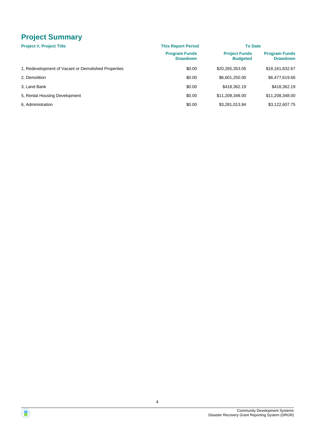# **Project Summary**

| <b>Project #, Project Title</b>                     | <b>This Report Period</b>               | <b>To Date</b>                          |                                         |  |
|-----------------------------------------------------|-----------------------------------------|-----------------------------------------|-----------------------------------------|--|
|                                                     | <b>Program Funds</b><br><b>Drawdown</b> | <b>Project Funds</b><br><b>Budgeted</b> | <b>Program Funds</b><br><b>Drawdown</b> |  |
| 1, Redevelopment of Vacant or Demolished Properties | \$0.00                                  | \$20,265,353.05                         | \$18,161,832.67                         |  |
| 2. Demolition                                       | \$0.00                                  | \$6,601,250.00                          | \$6,477,619.66                          |  |
| 3, Land Bank                                        | \$0.00                                  | \$418,362.19                            | \$418,362.19                            |  |
| 5, Rental Housing Development                       | \$0.00                                  | \$11,208,348.00                         | \$11,208,348.00                         |  |
| 6, Administration                                   | \$0.00                                  | \$3,281,013.84                          | \$3,122,607.75                          |  |

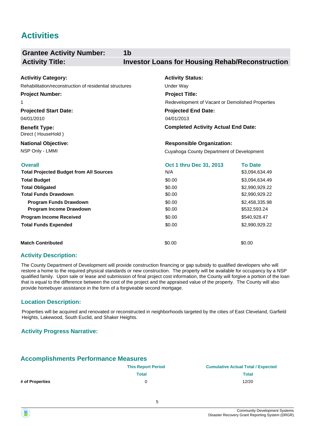# **Activities**

| <b>Grantee Activity Number:</b>                         | 1b                                                     |                |
|---------------------------------------------------------|--------------------------------------------------------|----------------|
| <b>Activity Title:</b>                                  | <b>Investor Loans for Housing Rehab/Reconstruction</b> |                |
| <b>Activitiy Category:</b>                              | <b>Activity Status:</b>                                |                |
| Rehabilitation/reconstruction of residential structures | <b>Under Way</b>                                       |                |
| <b>Project Number:</b>                                  | <b>Project Title:</b>                                  |                |
| 1                                                       | Redevelopment of Vacant or Demolished Properties       |                |
| <b>Projected Start Date:</b>                            | <b>Projected End Date:</b>                             |                |
| 04/01/2010                                              | 04/01/2013                                             |                |
| <b>Benefit Type:</b><br>Direct (HouseHold)              | <b>Completed Activity Actual End Date:</b>             |                |
| <b>National Objective:</b>                              | <b>Responsible Organization:</b>                       |                |
| NSP Only - LMMI                                         | Cuyahoga County Department of Development              |                |
| <b>Overall</b>                                          | Oct 1 thru Dec 31, 2013                                | <b>To Date</b> |
| <b>Total Projected Budget from All Sources</b>          | N/A                                                    | \$3,094,634.49 |
| <b>Total Budget</b>                                     | \$0.00                                                 | \$3,094,634.49 |
| <b>Total Obligated</b>                                  | \$0.00                                                 | \$2,990,929.22 |
| <b>Total Funds Drawdown</b>                             | \$0.00                                                 | \$2,990,929.22 |
| <b>Program Funds Drawdown</b>                           | \$0.00                                                 | \$2,458,335.98 |
| Program Income Drawdown                                 | \$0.00                                                 | \$532,593.24   |
| <b>Program Income Received</b>                          | \$0.00                                                 | \$540,928.47   |
| <b>Total Funds Expended</b>                             | \$0.00                                                 | \$2,990,929.22 |
| <b>Match Contributed</b>                                | \$0.00                                                 | \$0.00         |

## **Activity Description:**

The County Department of Development will provide construction financing or gap subsidy to qualified developers who will restore a home to the required physical standards or new construction. The property will be available for occupancy by a NSP qualified family. Upon sale or lease and submission of final project cost information, the County will forgive a portion of the loan that is equal to the difference between the cost of the project and the appraised value of the property. The County will also provide homebuyer assistance in the form of a forgiveable second mortgage.

#### **Location Description:**

Properties will be acquired and renovated or reconstructed in neighborhoods targeted by the cities of East Cleveland, Garfield Heights, Lakewood, South Euclid, and Shaker Heights.

## **Activity Progress Narrative:**

## **Accomplishments Performance Measures**

|                 | <b>This Report Period</b> | <b>Cumulative Actual Total / Expected</b> |
|-----------------|---------------------------|-------------------------------------------|
|                 | Total                     | Total                                     |
| # of Properties |                           | 12/20                                     |

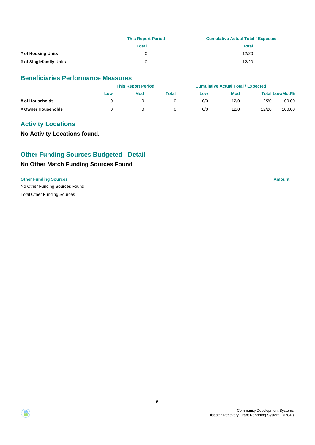|                         | <b>This Report Period</b> | <b>Cumulative Actual Total / Expected</b> |
|-------------------------|---------------------------|-------------------------------------------|
|                         | Total                     | Total                                     |
| # of Housing Units      | 0                         | 12/20                                     |
| # of Singlefamily Units | <sup>n</sup>              | 12/20                                     |

## **Beneficiaries Performance Measures**

|                    | <b>This Report Period</b> |            |       | <b>Cumulative Actual Total / Expected</b> |            |       |                       |
|--------------------|---------------------------|------------|-------|-------------------------------------------|------------|-------|-----------------------|
|                    | Low                       | <b>Mod</b> | Total | Low                                       | <b>Mod</b> |       | <b>Total Low/Mod%</b> |
| # of Households    |                           |            |       | 0/0                                       | 12/0       | 12/20 | 100.00                |
| # Owner Households |                           |            |       | 0/0                                       | 12/0       | 12/20 | 100.00                |

## **Activity Locations**

**No Activity Locations found.**

## **Other Funding Sources Budgeted - Detail**

## **No Other Match Funding Sources Found**

#### **Other Funding Sources Amount Amount Amount Amount Amount Amount Amount**



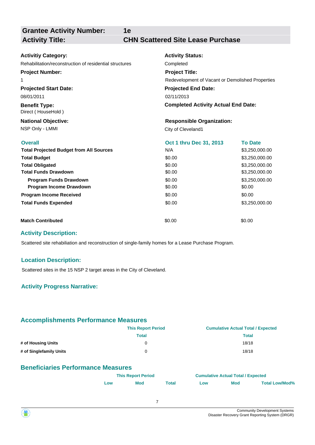**1e**

## **Activity Title: CHN Scattered Site Lease Purchase**

| <b>Activitiy Category:</b>                              | <b>Activity Status:</b>                          |                |  |  |  |
|---------------------------------------------------------|--------------------------------------------------|----------------|--|--|--|
| Rehabilitation/reconstruction of residential structures | Completed                                        |                |  |  |  |
| <b>Project Number:</b>                                  | <b>Project Title:</b>                            |                |  |  |  |
| 1                                                       | Redevelopment of Vacant or Demolished Properties |                |  |  |  |
| <b>Projected Start Date:</b>                            | <b>Projected End Date:</b>                       |                |  |  |  |
| 08/01/2011                                              | 02/11/2013                                       |                |  |  |  |
| <b>Benefit Type:</b><br>Direct (HouseHold)              | <b>Completed Activity Actual End Date:</b>       |                |  |  |  |
| <b>National Objective:</b>                              | <b>Responsible Organization:</b>                 |                |  |  |  |
| NSP Only - LMMI                                         | City of Cleveland1                               |                |  |  |  |
| <b>Overall</b>                                          | Oct 1 thru Dec 31, 2013                          | <b>To Date</b> |  |  |  |
| <b>Total Projected Budget from All Sources</b>          | N/A                                              | \$3,250,000.00 |  |  |  |
| <b>Total Budget</b>                                     | \$0.00                                           | \$3,250,000.00 |  |  |  |
| <b>Total Obligated</b>                                  | \$0.00                                           | \$3,250,000.00 |  |  |  |
| <b>Total Funds Drawdown</b>                             | \$0.00                                           | \$3,250,000.00 |  |  |  |
| Program Funds Drawdown                                  | \$0.00                                           | \$3,250,000.00 |  |  |  |
| Program Income Drawdown                                 | \$0.00                                           | \$0.00         |  |  |  |
| <b>Program Income Received</b>                          | \$0.00                                           | \$0.00         |  |  |  |
| <b>Total Funds Expended</b>                             | \$0.00                                           | \$3,250,000.00 |  |  |  |
| <b>Match Contributed</b>                                | \$0.00                                           | \$0.00         |  |  |  |

#### **Activity Description:**

Scattered site rehabiliation and reconstruction of single-family homes for a Lease Purchase Program.

#### **Location Description:**

Scattered sites in the 15 NSP 2 target areas in the City of Cleveland.

## **Activity Progress Narrative:**

## **Accomplishments Performance Measures**

|                         | <b>This Report Period</b> | <b>Cumulative Actual Total / Expected</b> |
|-------------------------|---------------------------|-------------------------------------------|
|                         | Total                     | Total                                     |
| # of Housing Units      | 0                         | 18/18                                     |
| # of Singlefamily Units | 0                         | 18/18                                     |

## **Beneficiaries Performance Measures**

|            | <b>This Report Period</b> |       | <b>Cumulative Actual Total / Expected</b> |            |                       |
|------------|---------------------------|-------|-------------------------------------------|------------|-----------------------|
| <b>LOW</b> | Mod                       | Total | <b>LOW</b>                                | <b>Mod</b> | <b>Total Low/Mod%</b> |

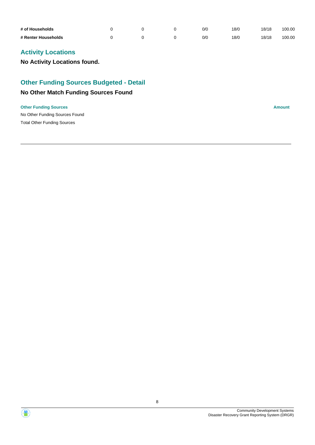| # of Households     |  | 0/0 | 18/0 | 18/18 | 100.00 |
|---------------------|--|-----|------|-------|--------|
| # Renter Households |  | 0/0 | 8/0  | 18/18 | 100.00 |

# **Activity Locations**

**No Activity Locations found.**

# **Other Funding Sources Budgeted - Detail**

## **No Other Match Funding Sources Found**

#### **Other Funding Sources Amount**

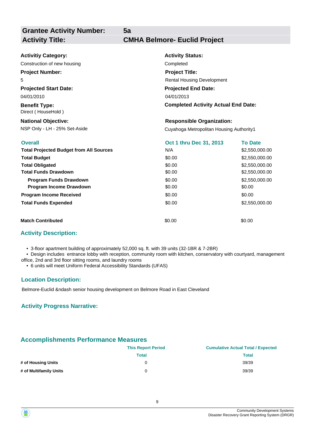# **Activity Title: CMHA Belmore- Euclid Project**

| <b>Activitiy Category:</b>                     | <b>Activity Status:</b>                    |                |  |  |  |
|------------------------------------------------|--------------------------------------------|----------------|--|--|--|
| Construction of new housing                    | Completed<br><b>Project Title:</b>         |                |  |  |  |
| <b>Project Number:</b>                         |                                            |                |  |  |  |
| 5                                              | <b>Rental Housing Development</b>          |                |  |  |  |
| <b>Projected Start Date:</b>                   | <b>Projected End Date:</b>                 |                |  |  |  |
| 04/01/2013<br>04/01/2010                       |                                            |                |  |  |  |
| <b>Benefit Type:</b><br>Direct (HouseHold)     | <b>Completed Activity Actual End Date:</b> |                |  |  |  |
| <b>National Objective:</b>                     | <b>Responsible Organization:</b>           |                |  |  |  |
| NSP Only - LH - 25% Set-Aside                  | Cuyahoga Metropolitan Housing Authority1   |                |  |  |  |
| <b>Overall</b>                                 | Oct 1 thru Dec 31, 2013                    | <b>To Date</b> |  |  |  |
| <b>Total Projected Budget from All Sources</b> | N/A                                        | \$2,550,000.00 |  |  |  |
| <b>Total Budget</b>                            | \$0.00                                     | \$2,550,000.00 |  |  |  |
| <b>Total Obligated</b>                         | \$0.00                                     | \$2,550,000.00 |  |  |  |
| <b>Total Funds Drawdown</b>                    | \$0.00                                     | \$2,550,000.00 |  |  |  |
| Program Funds Drawdown                         | \$0.00                                     | \$2,550,000.00 |  |  |  |
| Program Income Drawdown                        | \$0.00                                     | \$0.00         |  |  |  |
| <b>Program Income Received</b>                 | \$0.00                                     | \$0.00         |  |  |  |
| <b>Total Funds Expended</b>                    | \$0.00                                     | \$2,550,000.00 |  |  |  |
| <b>Match Contributed</b>                       | \$0.00                                     | \$0.00         |  |  |  |

**5a**

## **Activity Description:**

- 3-floor apartment building of approximately 52,000 sq. ft. with 39 units (32-1BR & 7-2BR)
- Design includes entrance lobby with reception, community room with kitchen, conservatory with courtyard, management office, 2nd and 3rd floor sitting rooms, and laundry rooms
	- 6 units will meet Uniform Federal Accessibility Standards (UFAS)

#### **Location Description:**

Belmore-Euclid &ndash senior housing development on Belmore Road in East Cleveland

#### **Activity Progress Narrative:**

## **Accomplishments Performance Measures**

|                        | <b>This Report Period</b> | <b>Cumulative Actual Total / Expected</b> |
|------------------------|---------------------------|-------------------------------------------|
|                        | <b>Total</b>              | <b>Total</b>                              |
| # of Housing Units     | 0                         | 39/39                                     |
| # of Multifamily Units | 0                         | 39/39                                     |

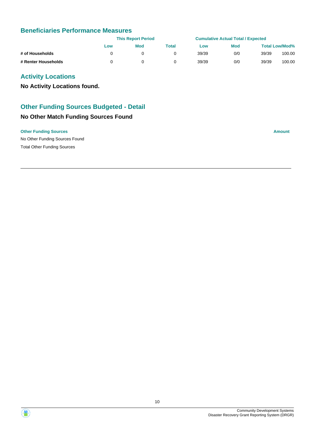## **Beneficiaries Performance Measures**

|                     |     | <b>This Report Period</b> |       |       | <b>Cumulative Actual Total / Expected</b> |       |                       |
|---------------------|-----|---------------------------|-------|-------|-------------------------------------------|-------|-----------------------|
|                     | Low | Mod                       | Total | LOW   | <b>Mod</b>                                |       | <b>Total Low/Mod%</b> |
| # of Households     |     |                           |       | 39/39 | 0/0                                       | 39/39 | 100.00                |
| # Renter Households |     |                           |       | 39/39 | 0/0                                       | 39/39 | 100.00                |

## **Activity Locations**

**No Activity Locations found.**

## **Other Funding Sources Budgeted - Detail**

## **No Other Match Funding Sources Found**

#### **Other Funding Sources Amount Amount Amount Amount Amount Amount Amount**

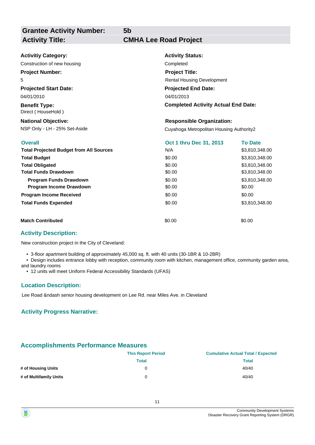**Grantee Activity Number: Activity Title: CMHA Lee Road Project**

**5b**

| <b>Activitiy Category:</b>                     | <b>Activity Status:</b>                    |                |  |  |  |
|------------------------------------------------|--------------------------------------------|----------------|--|--|--|
| Construction of new housing                    | Completed                                  |                |  |  |  |
| <b>Project Number:</b>                         | <b>Project Title:</b>                      |                |  |  |  |
| 5                                              | <b>Rental Housing Development</b>          |                |  |  |  |
| <b>Projected Start Date:</b>                   | <b>Projected End Date:</b>                 |                |  |  |  |
| 04/01/2010                                     | 04/01/2013                                 |                |  |  |  |
| <b>Benefit Type:</b><br>Direct (HouseHold)     | <b>Completed Activity Actual End Date:</b> |                |  |  |  |
| <b>National Objective:</b>                     | <b>Responsible Organization:</b>           |                |  |  |  |
| NSP Only - LH - 25% Set-Aside                  | Cuyahoga Metropolitan Housing Authority2   |                |  |  |  |
| <b>Overall</b>                                 | Oct 1 thru Dec 31, 2013                    | <b>To Date</b> |  |  |  |
| <b>Total Projected Budget from All Sources</b> | N/A                                        | \$3,810,348.00 |  |  |  |
| <b>Total Budget</b>                            | \$0.00                                     | \$3,810,348.00 |  |  |  |
| <b>Total Obligated</b>                         | \$0.00                                     | \$3,810,348.00 |  |  |  |
| <b>Total Funds Drawdown</b>                    | \$0.00                                     | \$3,810,348.00 |  |  |  |
| <b>Program Funds Drawdown</b>                  | \$0.00                                     | \$3,810,348.00 |  |  |  |
| Program Income Drawdown                        | \$0.00                                     | \$0.00         |  |  |  |
| <b>Program Income Received</b>                 | \$0.00                                     | \$0.00         |  |  |  |
| <b>Total Funds Expended</b>                    | \$0.00                                     | \$3,810,348.00 |  |  |  |
| <b>Match Contributed</b>                       | \$0.00                                     | \$0.00         |  |  |  |

## **Activity Description:**

New construction project in the City of Cleveland:

• 3-floor apartment building of approximately 45,000 sq. ft. with 40 units (30-1BR & 10-2BR)

 • Design includes entrance lobby with reception, community room with kitchen, management office, community garden area, and laundry rooms

• 12 units will meet Uniform Federal Accessibility Standards (UFAS)

#### **Location Description:**

Lee Road &ndash senior housing development on Lee Rd. near Miles Ave. in Cleveland

## **Activity Progress Narrative:**

## **Accomplishments Performance Measures**

|                        | <b>This Report Period</b> | <b>Cumulative Actual Total / Expected</b> |
|------------------------|---------------------------|-------------------------------------------|
|                        | Total                     | <b>Total</b>                              |
| # of Housing Units     |                           | 40/40                                     |
| # of Multifamily Units |                           | 40/40                                     |

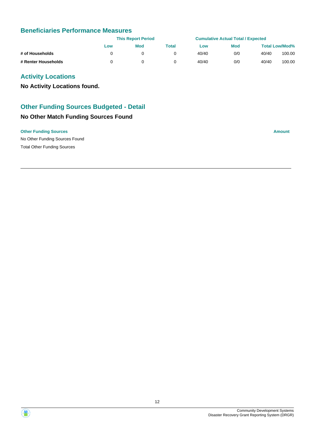## **Beneficiaries Performance Measures**

|                     |     | <b>This Report Period</b> |       |       | <b>Cumulative Actual Total / Expected</b> |       |                       |
|---------------------|-----|---------------------------|-------|-------|-------------------------------------------|-------|-----------------------|
|                     | Low | Mod                       | Total | LOW   | <b>Mod</b>                                |       | <b>Total Low/Mod%</b> |
| # of Households     |     |                           |       | 40/40 | 0/0                                       | 40/40 | 100.00                |
| # Renter Households |     |                           |       | 40/40 | 0/0                                       | 40/40 | 100.00                |

## **Activity Locations**

**No Activity Locations found.**

## **Other Funding Sources Budgeted - Detail**

## **No Other Match Funding Sources Found**

#### **Other Funding Sources Amount Amount Amount Amount Amount Amount Amount**



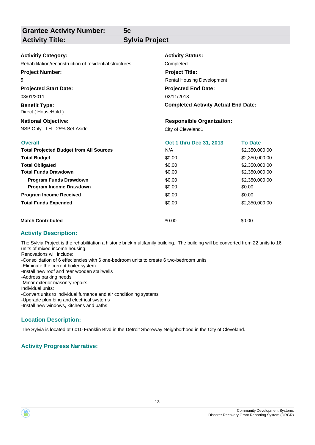## **Activity Title: Sylvia Project**

**5c**

| <b>Activitiy Category:</b>                              | <b>Activity Status:</b>                    |                |  |  |  |
|---------------------------------------------------------|--------------------------------------------|----------------|--|--|--|
| Rehabilitation/reconstruction of residential structures | Completed                                  |                |  |  |  |
| <b>Project Number:</b>                                  | <b>Project Title:</b>                      |                |  |  |  |
| 5                                                       | <b>Rental Housing Development</b>          |                |  |  |  |
| <b>Projected Start Date:</b>                            | <b>Projected End Date:</b>                 |                |  |  |  |
| 08/01/2011                                              | 02/11/2013                                 |                |  |  |  |
| <b>Benefit Type:</b><br>Direct (HouseHold)              | <b>Completed Activity Actual End Date:</b> |                |  |  |  |
| <b>National Objective:</b>                              | <b>Responsible Organization:</b>           |                |  |  |  |
| NSP Only - LH - 25% Set-Aside                           | City of Cleveland1                         |                |  |  |  |
| <b>Overall</b>                                          | Oct 1 thru Dec 31, 2013                    | <b>To Date</b> |  |  |  |
| <b>Total Projected Budget from All Sources</b>          | N/A                                        | \$2,350,000.00 |  |  |  |
| <b>Total Budget</b>                                     | \$0.00                                     | \$2,350,000.00 |  |  |  |
| <b>Total Obligated</b>                                  | \$0.00                                     | \$2,350,000.00 |  |  |  |
| <b>Total Funds Drawdown</b>                             | \$0.00                                     | \$2,350,000.00 |  |  |  |
| <b>Program Funds Drawdown</b>                           | \$0.00                                     | \$2,350,000.00 |  |  |  |
| Program Income Drawdown                                 | \$0.00                                     | \$0.00         |  |  |  |
| <b>Program Income Received</b>                          | \$0.00                                     | \$0.00         |  |  |  |
| <b>Total Funds Expended</b>                             | \$0.00                                     | \$2,350,000.00 |  |  |  |
| <b>Match Contributed</b>                                | \$0.00                                     | \$0.00         |  |  |  |

## **Activity Description:**

The Sylvia Project is the rehabilitation a historic brick multifamily building. The building will be converted from 22 units to 16 units of mixed income housing.

Renovations will include:

-Consolidation of 6 effeciencies with 6 one-bedroom units to create 6 two-bedroom units

-Eliminate the current boiler system

-Install new roof and rear wooden stairwells

-Address parking needs

-Minor exterior masonry repairs

Individual units:

-Convert units to individual furnance and air conditioning systems

-Upgrade plumbing and electrical systems

-Install new windows, kitchens and baths

## **Location Description:**

The Sylvia is located at 6010 Franklin Blvd in the Detroit Shoreway Neighborhood in the City of Cleveland.

## **Activity Progress Narrative:**

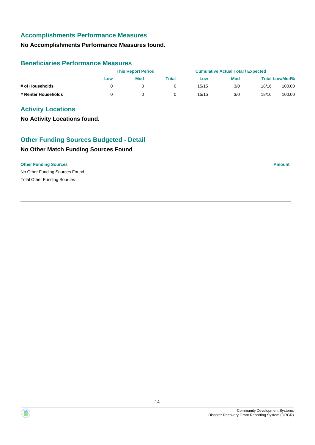## **Accomplishments Performance Measures**

## **No Accomplishments Performance Measures found.**

## **Beneficiaries Performance Measures**

|                     |     | <b>This Report Period</b> |       |       | <b>Cumulative Actual Total / Expected</b> |       |                       |
|---------------------|-----|---------------------------|-------|-------|-------------------------------------------|-------|-----------------------|
|                     | Low | Mod                       | Total | Low   | <b>Mod</b>                                |       | <b>Total Low/Mod%</b> |
| # of Households     |     |                           |       | 15/15 | 3/0                                       | 18/16 | 100.00                |
| # Renter Households |     |                           |       | 15/15 | 3/0                                       | 18/16 | 100.00                |

## **Activity Locations**

**No Activity Locations found.**

# **No Other Match Funding Sources Found Other Funding Sources Budgeted - Detail**

#### **Other Funding Sources Amount**

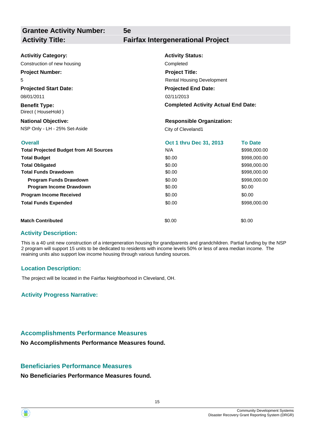| <b>Activitiy Category:</b>                     | <b>Activity Status:</b>                    |                |  |  |  |
|------------------------------------------------|--------------------------------------------|----------------|--|--|--|
| Construction of new housing                    | Completed                                  |                |  |  |  |
| <b>Project Number:</b>                         | <b>Project Title:</b>                      |                |  |  |  |
| 5                                              | <b>Rental Housing Development</b>          |                |  |  |  |
| <b>Projected Start Date:</b>                   | <b>Projected End Date:</b>                 |                |  |  |  |
| 08/01/2011                                     | 02/11/2013                                 |                |  |  |  |
| <b>Benefit Type:</b><br>Direct (HouseHold)     | <b>Completed Activity Actual End Date:</b> |                |  |  |  |
| <b>National Objective:</b>                     | <b>Responsible Organization:</b>           |                |  |  |  |
| NSP Only - LH - 25% Set-Aside                  | City of Cleveland1                         |                |  |  |  |
|                                                |                                            |                |  |  |  |
| <b>Overall</b>                                 | Oct 1 thru Dec 31, 2013                    | <b>To Date</b> |  |  |  |
| <b>Total Projected Budget from All Sources</b> | N/A                                        | \$998,000.00   |  |  |  |
| <b>Total Budget</b>                            | \$0.00                                     | \$998,000.00   |  |  |  |
| <b>Total Obligated</b>                         | \$0.00                                     | \$998,000.00   |  |  |  |
| <b>Total Funds Drawdown</b>                    | \$0.00                                     | \$998,000.00   |  |  |  |
| <b>Program Funds Drawdown</b>                  | \$0.00                                     | \$998,000.00   |  |  |  |
| Program Income Drawdown                        | \$0.00                                     | \$0.00         |  |  |  |
| <b>Program Income Received</b>                 | \$0.00                                     | \$0.00         |  |  |  |
| <b>Total Funds Expended</b>                    | \$0.00                                     | \$998,000.00   |  |  |  |

**5e**

## **Activity Description:**

This is a 40 unit new construction of a intergeneration housing for grandparents and grandchildren. Partial funding by the NSP 2 program will support 15 units to be dedicated to residents with income levels 50% or less of area median income. The reaining units also support low income housing through various funding sources.

## **Location Description:**

The project will be located in the Fairfax Neighborhood in Cleveland, OH.

## **Activity Progress Narrative:**

## **Accomplishments Performance Measures**

**No Accomplishments Performance Measures found.**

## **Beneficiaries Performance Measures**

**No Beneficiaries Performance Measures found.**